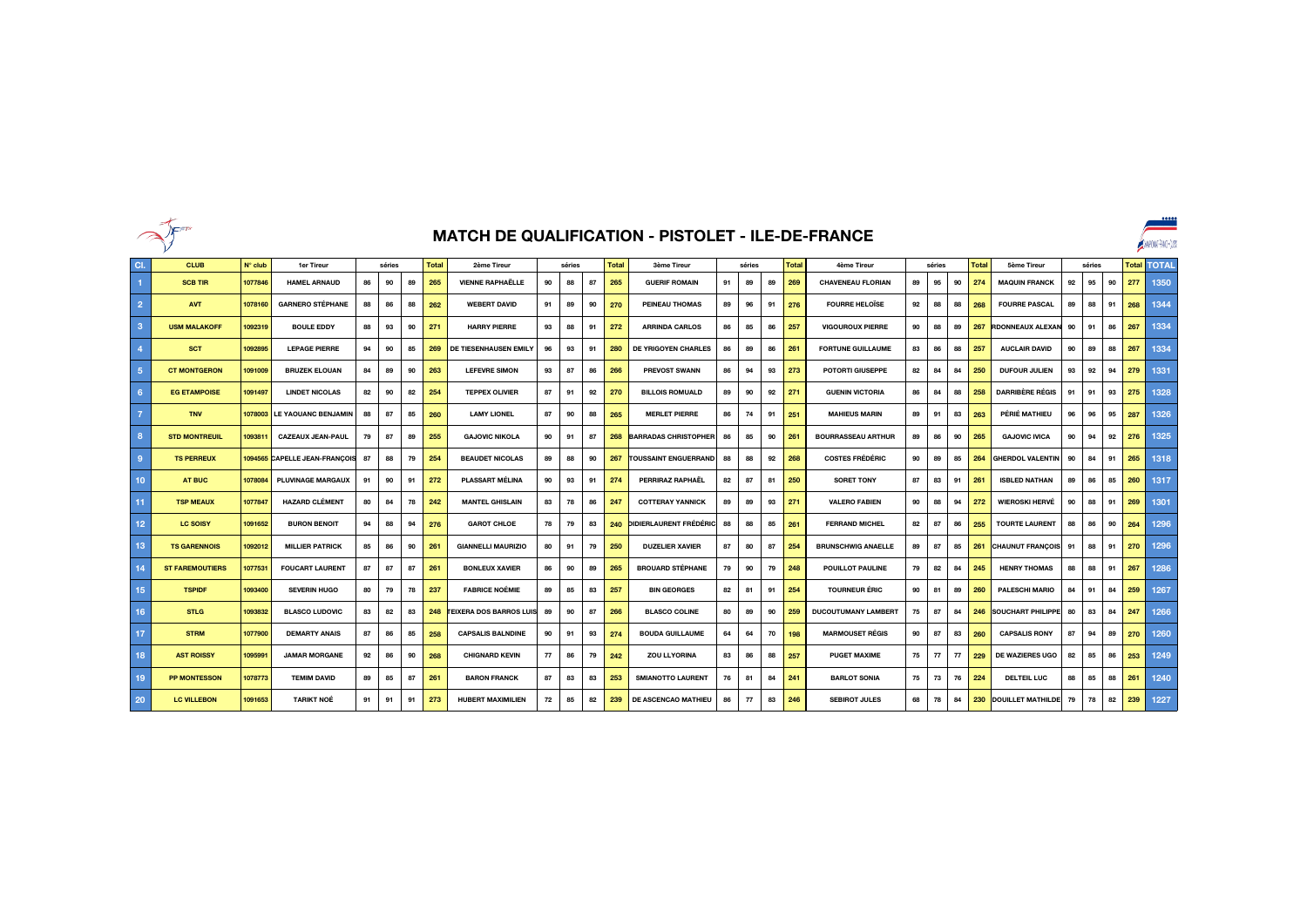

## **MATCH DE QUALIFICATION - PISTOLET - ILE-DE-FRANCE**

|                  | <b>NEFT!</b>           | MATCH DE QUALIFICATION - PISTOLET - ILE-DE-FRANCE |                               |    |    |              |             |                                |    |                        |    |                    |                               |    |    |              | 00000<br>ANAPONA-PACE-QUB |                            |    |              |                    |        |                          |    |              |              |     |      |
|------------------|------------------------|---------------------------------------------------|-------------------------------|----|----|--------------|-------------|--------------------------------|----|------------------------|----|--------------------|-------------------------------|----|----|--------------|---------------------------|----------------------------|----|--------------|--------------------|--------|--------------------------|----|--------------|--------------|-----|------|
| CI.              | <b>CLUB</b>            | $N^{\circ}$ club                                  | séries                        |    |    | <b>Total</b> | 2ème Tireur |                                |    | <b>Total</b><br>séries |    | <b>3ème Tireur</b> | séries                        |    |    | <b>Total</b> | 4ème Tireur<br>séries     |                            |    | <b>Total</b> | <b>5ème Tireur</b> | séries |                          |    | <b>Total</b> | <b>TOTAL</b> |     |      |
|                  | <b>SCB TIR</b>         | 1077846                                           | <b>HAMEL ARNAUD</b>           | 86 | 90 | 89           | 265         | <b>VIENNE RAPHAËLLE</b>        | 90 | 88                     | 87 | 265                | <b>GUERIF ROMAIN</b>          | 91 | 89 | 89           | 269                       | <b>CHAVENEAU FLORIAN</b>   | 89 | 95           | 90                 | 274    | <b>MAQUIN FRANCK</b>     | 92 | 95           | 90           | 277 | 1350 |
| $\overline{2}$   | <b>AVT</b>             | 1078160                                           | <b>GARNERO STÉPHANE</b>       | 88 | 86 | 88           | 262         | <b>WEBERT DAVID</b>            | 91 | 89                     | 90 | 270                | <b>PEINEAU THOMAS</b>         | 89 | 96 | 91           | 276                       | <b>FOURRE HELOÏSE</b>      | 92 | 88           | 88                 | 268    | <b>FOURRE PASCAL</b>     | 89 | 88           | 91           | 268 | 1344 |
| $\overline{3}$   | <b>USM MALAKOFF</b>    | 1092319                                           | <b>BOULE EDDY</b>             | 88 | 93 | 90           | 271         | <b>HARRY PIERRE</b>            | 93 | 88                     | 91 | 272                | <b>ARRINDA CARLOS</b>         | 86 | 85 | 86           | 257                       | <b>VIGOUROUX PIERRE</b>    | 90 | 88           | 89                 | 267    | <b>RDONNEAUX ALEXAN</b>  | 90 | 91           | 86           | 267 | 1334 |
| $\overline{4}$   | <b>SCT</b>             | 1092895                                           | <b>LEPAGE PIERRE</b>          | 94 | 90 | 85           | 269         | DE TIESENHAUSEN EMILY          | 96 | 93                     | 91 | 280                | <b>DE YRIGOYEN CHARLES</b>    | 86 | 89 | 86           | 261                       | <b>FORTUNE GUILLAUME</b>   | 83 | 86           | 88                 | 257    | <b>AUCLAIR DAVID</b>     | 90 | 89           | 88           | 267 | 1334 |
| $\sqrt{5}$       | <b>CT MONTGERON</b>    | 1091009                                           | <b>BRUZEK ELOUAN</b>          | 84 | 89 | 90           | 263         | <b>LEFEVRE SIMON</b>           | 93 | 87                     | 86 | 266                | <b>PREVOST SWANN</b>          | 86 | 94 | 93           | 273                       | <b>POTORTI GIUSEPPE</b>    | 82 | 84           | 84                 | 250    | <b>DUFOUR JULIEN</b>     | 93 | 92           | 94           | 279 | 1331 |
| $6\phantom{1}$   | <b>EG ETAMPOISE</b>    | 1091497                                           | <b>LINDET NICOLAS</b>         | 82 | 90 | 82           | 254         | <b>TEPPEX OLIVIER</b>          | 87 | 91                     | 92 | 270                | <b>BILLOIS ROMUALD</b>        | 89 | 90 | 92           | 271                       | <b>GUENIN VICTORIA</b>     | 86 | 84           | 88                 | 258    | <b>DARRIBÈRE RÉGIS</b>   | 91 | 91           | 93           | 275 | 1328 |
| $\overline{7}$   | <b>TNV</b>             | 1078003                                           | <b>LE YAOUANC BENJAMIN</b>    | 88 | 87 | 85           | 260         | <b>LAMY LIONEL</b>             | 87 | 90                     | 88 | 265                | <b>MERLET PIERRE</b>          | 86 | 74 | 91           | 251                       | <b>MAHIEUS MARIN</b>       | 89 | 91           | 83                 | 263    | PÉRIÉ MATHIEU            | 96 | 96           | 95           | 287 | 1326 |
| 8                | <b>STD MONTREUIL</b>   | 1093811                                           | <b>CAZEAUX JEAN-PAUL</b>      | 79 | 87 | 89           | 255         | <b>GAJOVIC NIKOLA</b>          | 90 | 91                     | 87 | 268                | <b>BARRADAS CHRISTOPHER</b>   | 86 | 85 | 90           | 261                       | <b>BOURRASSEAU ARTHUR</b>  | 89 | 86           | 90                 | 265    | <b>GAJOVIC IVICA</b>     | 90 | 94           | 92           | 276 | 1325 |
| 9                | <b>TS PERREUX</b>      |                                                   | 1094565 CAPELLE JEAN-FRANÇOIS | 87 | 88 | 79           | 254         | <b>BEAUDET NICOLAS</b>         | 89 | 88                     | 90 | 267                | <b>TOUSSAINT ENGUERRAND</b>   | 88 | 88 | 92           | 268                       | <b>COSTES FRÉDÉRIC</b>     | 90 | 89           | 85                 | 264    | <b>GHERDOL VALENTIN</b>  | 90 | 84           | 91           | 265 | 1318 |
| 10 <sub>1</sub>  | AT BUC                 | 1078084                                           | <b>PLUVINAGE MARGAUX</b>      | 91 | 90 | 91           | 272         | <b>PLASSART MÉLINA</b>         | 90 | 93                     | 91 | 274                | <b>PERRIRAZ RAPHAEL</b>       | 82 | 87 | 81           | 250                       | <b>SORET TONY</b>          | 87 | 83           | 91                 | 261    | <b>ISBLED NATHAN</b>     | 89 | 86           | 85           | 260 | 1317 |
| 11               | <b>TSP MEAUX</b>       | 1077847                                           | <b>HAZARD CLÉMENT</b>         | 80 | 84 | 78           | 242         | <b>MANTEL GHISLAIN</b>         | 83 | 78                     | 86 | 247                | <b>COTTERAY YANNICK</b>       | 89 | 89 | 93           | 271                       | <b>VALERO FABIEN</b>       | 90 | 88           | 94                 | 272    | <b>WIEROSKI HERVÉ</b>    | 90 | 88           | 91           | 269 | 1301 |
| 12 <sub>2</sub>  | <b>LC SOISY</b>        | 1091652                                           | <b>BURON BENOIT</b>           | 94 | 88 | 94           | 276         | <b>GAROT CHLOE</b>             | 78 | 79                     | 83 | 240                | <b>DIDIERLAURENT FRÉDÉRIC</b> | 88 | 88 | 85           | 261                       | <b>FERRAND MICHEL</b>      | 82 | 87           | 86                 | 255    | <b>TOURTE LAURENT</b>    | 88 | 86           | 90           | 264 | 1296 |
| 13 <sub>1</sub>  | <b>TS GARENNOIS</b>    | 1092012                                           | <b>MILLIER PATRICK</b>        | 85 | 86 | 90           | 261         | <b>GIANNELLI MAURIZIO</b>      | 80 | 91                     | 79 | 250                | <b>DUZELIER XAVIER</b>        | 87 | 80 | 87           | 254                       | <b>BRUNSCHWIG ANAELLE</b>  | 89 | 87           | 85                 | 261    | <b>CHAUNUT FRANÇOIS</b>  | 91 | 88           | 91           | 270 | 1296 |
| 14               | <b>ST FAREMOUTIERS</b> | 1077531                                           | <b>FOUCART LAURENT</b>        | 87 | 87 | 87           | 261         | <b>BONLEUX XAVIER</b>          | 86 | 90                     | 89 | 265                | <b>BROUARD STÉPHANE</b>       | 79 | 90 | 79           | 248                       | <b>POUILLOT PAULINE</b>    | 79 | 82           | 84                 | 245    | <b>HENRY THOMAS</b>      | 88 | 88           | 91           | 267 | 1286 |
| 15 <sub>15</sub> | <b>TSPIDF</b>          | 1093400                                           | <b>SEVERIN HUGO</b>           | 80 | 79 | 78           | 237         | <b>FABRICE NOÉMIE</b>          | 89 | 85                     | 83 | 257                | <b>BIN GEORGES</b>            | 82 | 81 | 91           | 254                       | <b>TOURNEUR ÉRIC</b>       | 90 | 81           | 89                 | 260    | <b>PALESCHI MARIO</b>    | 84 | 91           | 84           | 259 | 1267 |
| 16               | <b>STLG</b>            | 1093832                                           | <b>BLASCO LUDOVIC</b>         | 83 | 82 | 83           | 248         | <b>TEIXERA DOS BARROS LUIS</b> | 89 | 90                     | 87 | 266                | <b>BLASCO COLINE</b>          | 80 | 89 | 90           | 259                       | <b>DUCOUTUMANY LAMBERT</b> | 75 | 87           | 84                 | 246    | <b>SOUCHART PHILIPPE</b> | 80 | 83           | 84           | 247 | 1266 |
| 17               | <b>STRM</b>            | 1077900                                           | <b>DEMARTY ANAIS</b>          | 87 | 86 | 85           | 258         | <b>CAPSALIS BALNDINE</b>       | 90 | 91                     | 93 | 274                | <b>BOUDA GUILLAUME</b>        | 64 | 64 | 70           | 198                       | <b>MARMOUSET RÉGIS</b>     | 90 | 87           | 83                 | 260    | <b>CAPSALIS RONY</b>     | 87 | 94           | 89           | 270 | 1260 |
| 18               | <b>AST ROISSY</b>      | 1095991                                           | <b>JAMAR MORGANE</b>          | 92 | 86 | 90           | 268         | <b>CHIGNARD KEVIN</b>          | 77 | 86                     | 79 | 242                | ZOU LLYORINA                  | 83 | 86 | 88           | 257                       | <b>PUGET MAXIME</b>        | 75 | 77           | 77                 | 229    | <b>DE WAZIERES UGO</b>   | 82 | 85           | 86           | 253 | 1249 |
| 19               | <b>PP MONTESSON</b>    | 1078773                                           | <b>TEMIM DAVID</b>            | 89 | 85 | 87           | 261         | <b>BARON FRANCK</b>            | 87 | 83                     | 83 | 253                | <b>SMIANOTTO LAURENT</b>      | 76 | 81 | 84           | 241                       | <b>BARLOT SONIA</b>        | 75 | 73           | 76                 | 224    | <b>DELTEIL LUC</b>       | 88 | 85           | 88           | 261 | 1240 |
| 20               | <b>LC VILLEBON</b>     | 1091653                                           | <b>TARIKT NOE</b>             | 91 | 91 | 91           | 273         | <b>HUBERT MAXIMILIEN</b>       | 72 | 85                     | 82 | 239                | <b>DE ASCENCAO MATHIEU</b>    | 86 | 77 | 83           | 246                       | <b>SEBIROT JULES</b>       | 68 | 78           | 84                 | 230    | <b>DOUILLET MATHILDE</b> | 79 | 78           | 82           | 239 | 1227 |